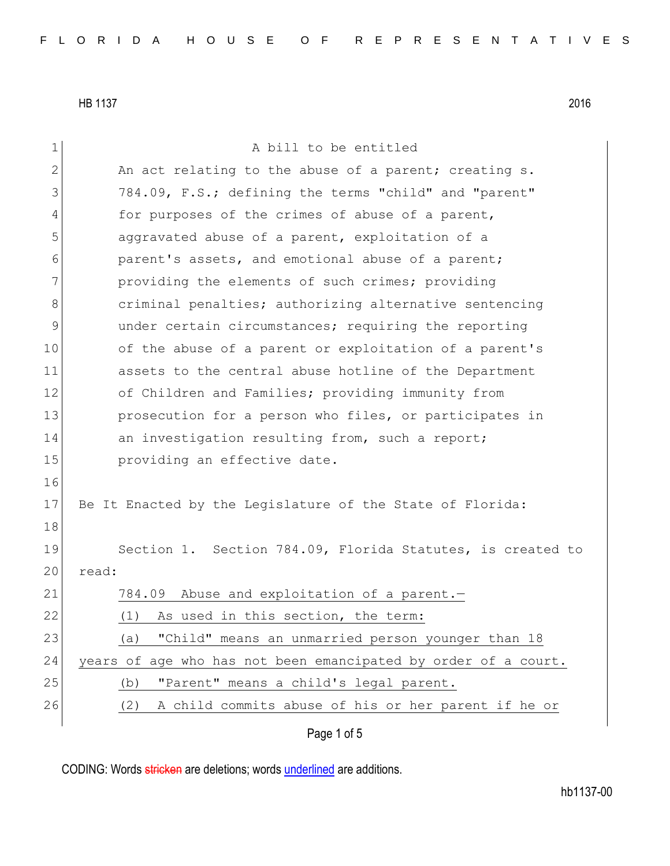Page 1 of 5 1 a bill to be entitled 2  $\vert$  An act relating to the abuse of a parent; creating s. 3 784.09, F.S.; defining the terms "child" and "parent" 4 for purposes of the crimes of abuse of a parent, 5 aggravated abuse of a parent, exploitation of a 6 **parent's assets, and emotional abuse of a parent;** 7 **providing the elements of such crimes; providing** 8 8 6 criminal penalties; authorizing alternative sentencing 9 under certain circumstances; requiring the reporting 10 of the abuse of a parent or exploitation of a parent's 11 assets to the central abuse hotline of the Department 12 of Children and Families; providing immunity from 13 prosecution for a person who files, or participates in 14 an investigation resulting from, such a report; 15 **providing an effective date.** 16 17 Be It Enacted by the Legislature of the State of Florida: 18 19 Section 1. Section 784.09, Florida Statutes, is created to 20 read: 21 784.09 Abuse and exploitation of a parent. 22 (1) As used in this section, the term: 23 (a) "Child" means an unmarried person younger than 18 24 years of age who has not been emancipated by order of a court. 25 (b) "Parent" means a child's legal parent. 26 (2) A child commits abuse of his or her parent if he or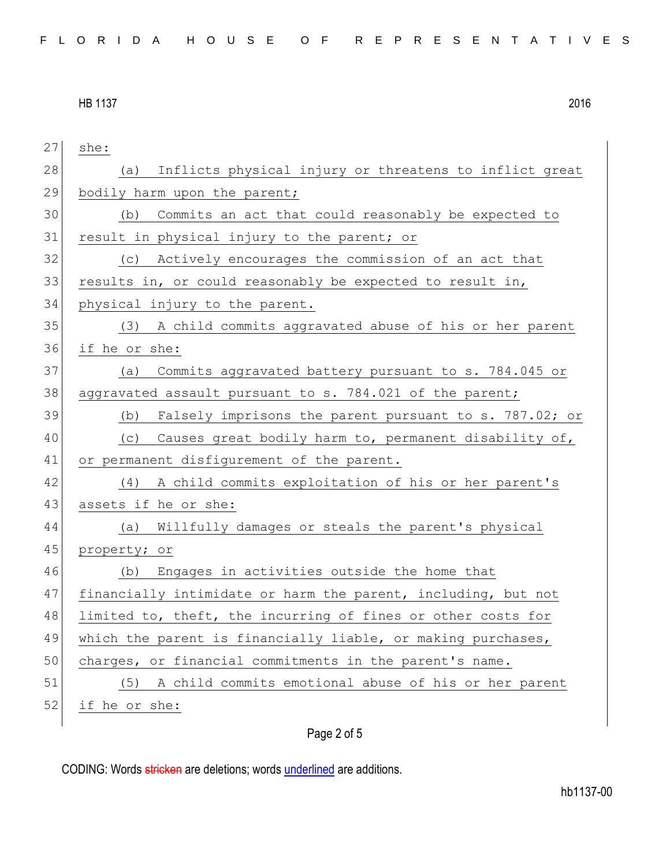| 27 | she:                                                          |
|----|---------------------------------------------------------------|
| 28 | Inflicts physical injury or threatens to inflict great<br>(a) |
| 29 | bodily harm upon the parent;                                  |
| 30 | Commits an act that could reasonably be expected to<br>(b)    |
| 31 | result in physical injury to the parent; or                   |
| 32 | Actively encourages the commission of an act that<br>(C)      |
| 33 | results in, or could reasonably be expected to result in,     |
| 34 | physical injury to the parent.                                |
| 35 | (3) A child commits aggravated abuse of his or her parent     |
| 36 | if he or she:                                                 |
| 37 | Commits aggravated battery pursuant to s. 784.045 or<br>(a)   |
| 38 | aggravated assault pursuant to s. 784.021 of the parent;      |
| 39 | Falsely imprisons the parent pursuant to s. 787.02; or<br>(b) |
| 40 | Causes great bodily harm to, permanent disability of,<br>(C)  |
| 41 | or permanent disfigurement of the parent.                     |
| 42 | A child commits exploitation of his or her parent's<br>(4)    |
| 43 | assets if he or she:                                          |
| 44 | Willfully damages or steals the parent's physical<br>(a)      |
| 45 | property; or                                                  |
| 46 | Engages in activities outside the home that<br>(b)            |
| 47 | financially intimidate or harm the parent, including, but not |
| 48 | limited to, theft, the incurring of fines or other costs for  |
| 49 | which the parent is financially liable, or making purchases,  |
| 50 | charges, or financial commitments in the parent's name.       |
| 51 | A child commits emotional abuse of his or her parent<br>(5)   |
| 52 | if he or she:                                                 |
|    |                                                               |

## Page 2 of 5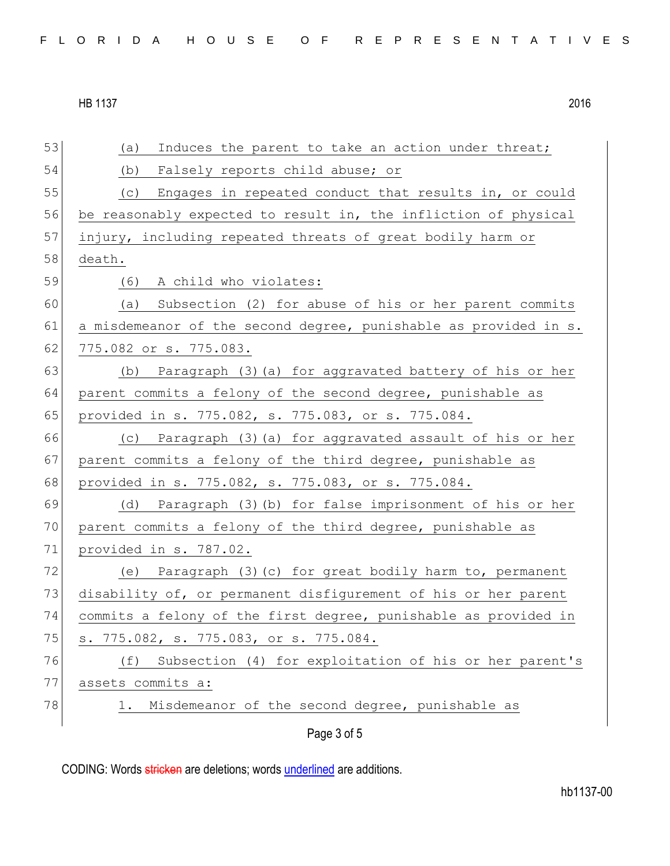Page 3 of 5 53 (a) Induces the parent to take an action under threat; 54 (b) Falsely reports child abuse; or 55 (c) Engages in repeated conduct that results in, or could 56 be reasonably expected to result in, the infliction of physical 57 injury, including repeated threats of great bodily harm or 58 death. 59 (6) A child who violates: 60 (a) Subsection (2) for abuse of his or her parent commits 61 a misdemeanor of the second degree, punishable as provided in s. 62 775.082 or s. 775.083. 63 (b) Paragraph (3)(a) for aggravated battery of his or her 64 parent commits a felony of the second degree, punishable as 65 provided in s. 775.082, s. 775.083, or s. 775.084. 66 (c) Paragraph (3)(a) for aggravated assault of his or her 67 parent commits a felony of the third degree, punishable as 68 provided in s. 775.082, s. 775.083, or s. 775.084. 69 (d) Paragraph (3)(b) for false imprisonment of his or her 70 parent commits a felony of the third degree, punishable as 71 provided in s. 787.02. 72 (e) Paragraph (3)(c) for great bodily harm to, permanent 73 disability of, or permanent disfigurement of his or her parent 74 commits a felony of the first degree, punishable as provided in 75 s. 775.082, s. 775.083, or s. 775.084. 76 (f) Subsection (4) for exploitation of his or her parent's 77 assets commits a: 78 1. Misdemeanor of the second degree, punishable as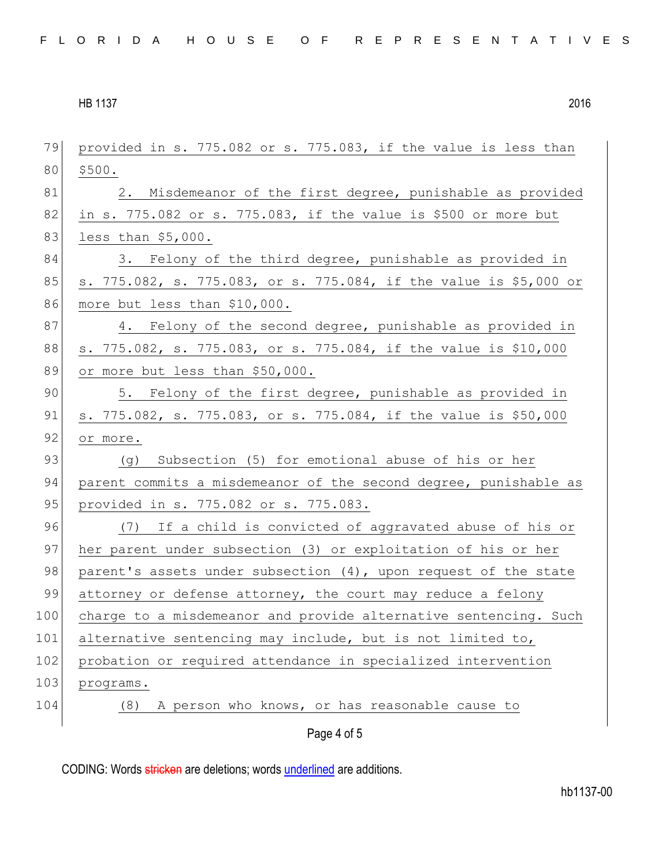| 79  | provided in s. 775.082 or s. 775.083, if the value is less than     |
|-----|---------------------------------------------------------------------|
| 80  | \$500.                                                              |
| 81  | 2. Misdemeanor of the first degree, punishable as provided          |
| 82  | in s. $775.082$ or s. $775.083$ , if the value is \$500 or more but |
| 83  | less than $$5,000.$                                                 |
| 84  | 3. Felony of the third degree, punishable as provided in            |
| 85  | s. 775.082, s. 775.083, or s. 775.084, if the value is \$5,000 or   |
| 86  | more but less than \$10,000.                                        |
| 87  | 4. Felony of the second degree, punishable as provided in           |
| 88  | s. 775.082, s. 775.083, or s. 775.084, if the value is \$10,000     |
| 89  | or more but less than \$50,000.                                     |
| 90  | 5. Felony of the first degree, punishable as provided in            |
| 91  | s. 775.082, s. 775.083, or s. 775.084, if the value is \$50,000     |
| 92  | or more.                                                            |
| 93  | Subsection (5) for emotional abuse of his or her<br>(g)             |
| 94  | parent commits a misdemeanor of the second degree, punishable as    |
| 95  | provided in s. 775.082 or s. 775.083.                               |
| 96  | (7) If a child is convicted of aggravated abuse of his or           |
| 97  | her parent under subsection (3) or exploitation of his or her       |
| 98  | parent's assets under subsection (4), upon request of the state     |
| 99  | attorney or defense attorney, the court may reduce a felony         |
| 100 | charge to a misdemeanor and provide alternative sentencing. Such    |
| 101 | alternative sentencing may include, but is not limited to,          |
| 102 | probation or required attendance in specialized intervention        |
| 103 | programs.                                                           |
| 104 | A person who knows, or has reasonable cause to<br>(8)               |
|     | Page 4 of 5                                                         |